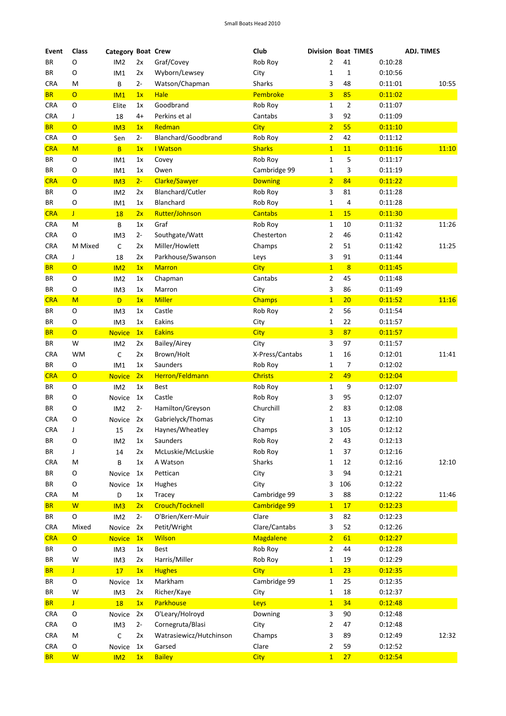| Event      | Class          | Category Boat Crew |       |                         | Club             | <b>Division Boat TIMES</b> |                |         | <b>ADJ. TIMES</b> |
|------------|----------------|--------------------|-------|-------------------------|------------------|----------------------------|----------------|---------|-------------------|
| ΒR         | O              | IM <sub>2</sub>    | 2x    | Graf/Covey              | Rob Roy          | $\overline{2}$             | 41             | 0:10:28 |                   |
| BR         | O              | IM1                | 2x    | Wyborn/Lewsey           | City             | $\mathbf{1}$               | $\mathbf{1}$   | 0:10:56 |                   |
| <b>CRA</b> | М              | B                  | $2 -$ | Watson/Chapman          | Sharks           | 3                          | 48             | 0:11:01 | 10:55             |
| <b>BR</b>  | $\overline{O}$ | IM1                | 1x    | <b>Hale</b>             | Pembroke         | $\overline{3}$             | 85             | 0:11:02 |                   |
| <b>CRA</b> | O              | Elite              | 1x    | Goodbrand               | Rob Roy          | $\mathbf{1}$               | $\overline{2}$ | 0:11:07 |                   |
| <b>CRA</b> | J              | 18                 | $4+$  | Perkins et al           | Cantabs          | 3                          | 92             | 0:11:09 |                   |
| <b>BR</b>  | $\overline{O}$ | IM3                | 1x    | Redman                  | City             | $\overline{2}$             | 55             | 0:11:10 |                   |
| <b>CRA</b> | O              | Sen                | $2 -$ | Blanchard/Goodbrand     | Rob Roy          | $\overline{2}$             | 42             | 0:11:12 |                   |
| <b>CRA</b> | M              | <b>B</b>           | 1x    | I Watson                | <b>Sharks</b>    | $\overline{1}$             | 11             | 0:11:16 | 11:10             |
| BR         | O              | IM1                | 1x    | Covey                   | Rob Roy          | $\mathbf{1}$               | 5              | 0:11:17 |                   |
| BR         | O              | IM1                | 1x    | Owen                    | Cambridge 99     | 1                          | 3              | 0:11:19 |                   |
| <b>CRA</b> | $\overline{O}$ | IM3                | $2 -$ | Clarke/Sawyer           | <b>Downing</b>   | $\overline{2}$             | 84             | 0:11:22 |                   |
| BR         | O              | IM <sub>2</sub>    | 2x    | Blanchard/Cutler        | Rob Roy          | 3                          | 81             | 0:11:28 |                   |
| BR         | O              | IM1                | 1x    | Blanchard               | Rob Roy          | $\mathbf{1}$               | 4              | 0:11:28 |                   |
| <b>CRA</b> | J.             | 18                 | 2x    | Rutter/Johnson          | <b>Cantabs</b>   | $\overline{1}$             | 15             | 0:11:30 |                   |
| <b>CRA</b> | M              | B                  | 1x    | Graf                    | Rob Roy          | 1                          | 10             | 0:11:32 | 11:26             |
| <b>CRA</b> | O              | IM <sub>3</sub>    | $2 -$ | Southgate/Watt          | Chesterton       | 2                          | 46             | 0:11:42 |                   |
| CRA        | M Mixed        | $\mathsf{C}$       | 2x    | Miller/Howlett          | Champs           | 2                          | 51             | 0:11:42 | 11:25             |
| <b>CRA</b> | J              | 18                 | 2x    | Parkhouse/Swanson       | Leys             | 3                          | 91             | 0:11:44 |                   |
| <b>BR</b>  | $\overline{O}$ | IM2                | 1x    | <b>Marron</b>           | <b>City</b>      | $\overline{1}$             | $\overline{8}$ | 0:11:45 |                   |
| <b>BR</b>  | O              | IM <sub>2</sub>    | 1x    | Chapman                 | Cantabs          | $\overline{2}$             | 45             | 0:11:48 |                   |
| BR         | O              | IM <sub>3</sub>    | 1x    | Marron                  | City             | 3                          | 86             | 0:11:49 |                   |
| <b>CRA</b> | M              | D                  | 1x    | <b>Miller</b>           | <b>Champs</b>    | $\overline{1}$             | 20             | 0:11:52 | 11:16             |
| BR         | O              | IM <sub>3</sub>    | 1x    | Castle                  | Rob Roy          | $\overline{2}$             | 56             | 0:11:54 |                   |
| ΒR         | O              | IM <sub>3</sub>    | 1x    | Eakins                  | City             | $\mathbf 1$                | 22             | 0:11:57 |                   |
| <b>BR</b>  | $\overline{O}$ | <b>Novice</b>      | 1x    | <b>Eakins</b>           | City             | 3                          | 87             | 0:11:57 |                   |
| BR         | W              | IM <sub>2</sub>    | 2x    | Bailey/Airey            | City             | 3                          | 97             | 0:11:57 |                   |
| <b>CRA</b> | WM             | C                  | 2x    | Brown/Holt              | X-Press/Cantabs  | 1                          | 16             | 0:12:01 | 11:41             |
| BR         | O              | IM1                | 1x    | Saunders                | Rob Roy          | $\mathbf{1}$               | 7              | 0:12:02 |                   |
| <b>CRA</b> | $\overline{O}$ | <b>Novice</b>      | 2x    | Herron/Feldmann         | <b>Christs</b>   | $\overline{2}$             | 49             | 0:12:04 |                   |
| BR         | O              | IM <sub>2</sub>    | 1x    | Best                    | Rob Roy          | $\mathbf{1}$               | 9              | 0:12:07 |                   |
| ΒR         | O              | Novice             | 1x    | Castle                  | Rob Roy          | 3                          | 95             | 0:12:07 |                   |
| BR         | O              | IM <sub>2</sub>    | $2 -$ | Hamilton/Greyson        | Churchill        | 2                          | 83             | 0:12:08 |                   |
| <b>CRA</b> | O              | Novice             | 2x    | Gabrielyck/Thomas       | City             | 1                          | 13             | 0:12:10 |                   |
| <b>CRA</b> | J              | 15                 | 2x    | Haynes/Wheatley         | Champs           | 3                          | 105            | 0:12:12 |                   |
| BR         | O              | IM <sub>2</sub>    | 1x    | Saunders                | Rob Roy          | $\overline{2}$             | 43             | 0:12:13 |                   |
| BR         | J              | 14                 | 2x    | McLuskie/McLuskie       | Rob Roy          | $\mathbf{1}$               | 37             | 0:12:16 |                   |
| <b>CRA</b> | M              | B                  | 1x    | A Watson                | Sharks           | 1                          | 12             | 0:12:16 | 12:10             |
| BR         | O              | Novice             | 1x    | Pettican                | City             | 3                          | 94             | 0:12:21 |                   |
| BR         | O              | Novice             | 1x    | Hughes                  | City             | 3                          | 106            | 0:12:22 |                   |
| <b>CRA</b> | M              | D                  | 1x    | Tracey                  | Cambridge 99     | 3                          | 88             | 0:12:22 | 11:46             |
| <b>BR</b>  | W              | IM3                | 2x    | Crouch/Tocknell         | Cambridge 99     | $\overline{1}$             | 17             | 0:12:23 |                   |
| BR         | O              | IM <sub>2</sub>    | $2 -$ | O'Brien/Kerr-Muir       | Clare            | 3                          | 82             | 0:12:23 |                   |
| CRA        | Mixed          | Novice             | 2x    | Petit/Wright            | Clare/Cantabs    | 3                          | 52             | 0:12:26 |                   |
| <b>CRA</b> | $\circ$        | <b>Novice</b>      | 1x    | <b>Wilson</b>           | <b>Magdalene</b> | $\overline{2}$             | 61             | 0:12:27 |                   |
| BR         | O              | IM <sub>3</sub>    | 1x    | Best                    | Rob Roy          | $\overline{2}$             | 44             | 0:12:28 |                   |
| BR         | W              | IM <sub>3</sub>    | 2x    | Harris/Miller           | Rob Roy          | 1                          | 19             | 0:12:29 |                   |
| <b>BR</b>  | J              | 17                 | 1x    | <b>Hughes</b>           | City             | $\overline{1}$             | 23             | 0:12:35 |                   |
| BR         | O              | Novice             | 1x    | Markham                 | Cambridge 99     | 1                          | 25             | 0:12:35 |                   |
| BR         | W              | IM <sub>3</sub>    | 2x    | Richer/Kaye             | City             | $1\,$                      | 18             | 0:12:37 |                   |
| <b>BR</b>  | J.             | <b>18</b>          | 1x    | Parkhouse               | Leys             | $\overline{1}$             | 34             | 0:12:48 |                   |
| <b>CRA</b> | O              | Novice             | 2x    | O'Leary/Holroyd         | Downing          | 3                          | 90             | 0:12:48 |                   |
| <b>CRA</b> | O              | IM <sub>3</sub>    | $2 -$ | Cornegruta/Blasi        | City             | 2                          | 47             | 0:12:48 |                   |
| CRA        | M              | C                  | 2x    | Watrasiewicz/Hutchinson | Champs           | 3                          | 89             | 0:12:49 | 12:32             |
| CRA        | O              | Novice             | 1x    | Garsed                  | Clare            | $\overline{2}$             | 59             | 0:12:52 |                   |
| <b>BR</b>  | W              | IM2                | 1x    | <b>Bailey</b>           | <b>City</b>      | $\mathbf{1}$               | 27             | 0:12:54 |                   |
|            |                |                    |       |                         |                  |                            |                |         |                   |